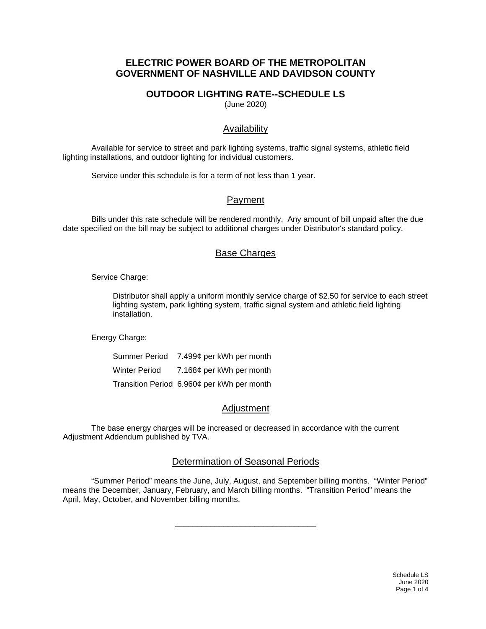# **ELECTRIC POWER BOARD OF THE METROPOLITAN GOVERNMENT OF NASHVILLE AND DAVIDSON COUNTY**

# **OUTDOOR LIGHTING RATE--SCHEDULE LS**

(June 2020)

# Availability

Available for service to street and park lighting systems, traffic signal systems, athletic field lighting installations, and outdoor lighting for individual customers.

Service under this schedule is for a term of not less than 1 year.

# Payment

Bills under this rate schedule will be rendered monthly. Any amount of bill unpaid after the due date specified on the bill may be subject to additional charges under Distributor's standard policy.

## Base Charges

Service Charge:

Distributor shall apply a uniform monthly service charge of \$2.50 for service to each street lighting system, park lighting system, traffic signal system and athletic field lighting installation.

Energy Charge:

Summer Period 7.499¢ per kWh per month Winter Period 7.168¢ per kWh per month Transition Period 6.960¢ per kWh per month

# Adjustment

The base energy charges will be increased or decreased in accordance with the current Adjustment Addendum published by TVA.

## Determination of Seasonal Periods

"Summer Period" means the June, July, August, and September billing months. "Winter Period" means the December, January, February, and March billing months. "Transition Period" means the April, May, October, and November billing months.

\_\_\_\_\_\_\_\_\_\_\_\_\_\_\_\_\_\_\_\_\_\_\_\_\_\_\_\_\_\_\_\_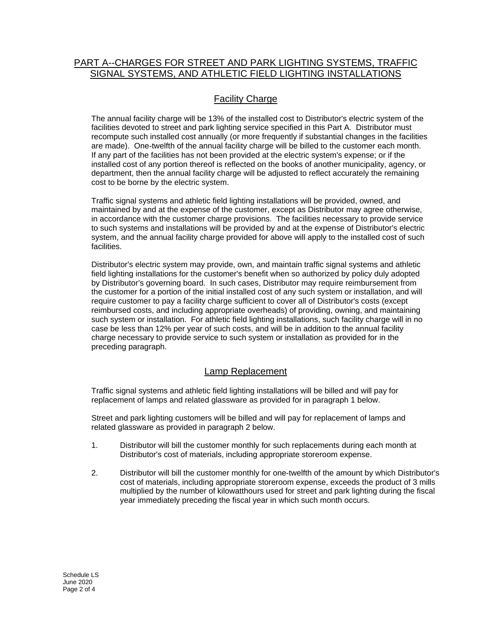# PART A--CHARGES FOR STREET AND PARK LIGHTING SYSTEMS, TRAFFIC SIGNAL SYSTEMS, AND ATHLETIC FIELD LIGHTING INSTALLATIONS

# Facility Charge

The annual facility charge will be 13% of the installed cost to Distributor's electric system of the facilities devoted to street and park lighting service specified in this Part A. Distributor must recompute such installed cost annually (or more frequently if substantial changes in the facilities are made). One-twelfth of the annual facility charge will be billed to the customer each month. If any part of the facilities has not been provided at the electric system's expense; or if the installed cost of any portion thereof is reflected on the books of another municipality, agency, or department, then the annual facility charge will be adjusted to reflect accurately the remaining cost to be borne by the electric system.

Traffic signal systems and athletic field lighting installations will be provided, owned, and maintained by and at the expense of the customer, except as Distributor may agree otherwise, in accordance with the customer charge provisions. The facilities necessary to provide service to such systems and installations will be provided by and at the expense of Distributor's electric system, and the annual facility charge provided for above will apply to the installed cost of such facilities.

Distributor's electric system may provide, own, and maintain traffic signal systems and athletic field lighting installations for the customer's benefit when so authorized by policy duly adopted by Distributor's governing board. In such cases, Distributor may require reimbursement from the customer for a portion of the initial installed cost of any such system or installation, and will require customer to pay a facility charge sufficient to cover all of Distributor's costs (except reimbursed costs, and including appropriate overheads) of providing, owning, and maintaining such system or installation. For athletic field lighting installations, such facility charge will in no case be less than 12% per year of such costs, and will be in addition to the annual facility charge necessary to provide service to such system or installation as provided for in the preceding paragraph.

## Lamp Replacement

Traffic signal systems and athletic field lighting installations will be billed and will pay for replacement of lamps and related glassware as provided for in paragraph 1 below.

Street and park lighting customers will be billed and will pay for replacement of lamps and related glassware as provided in paragraph 2 below.

- 1. Distributor will bill the customer monthly for such replacements during each month at Distributor's cost of materials, including appropriate storeroom expense.
- 2. Distributor will bill the customer monthly for one-twelfth of the amount by which Distributor's cost of materials, including appropriate storeroom expense, exceeds the product of 3 mills multiplied by the number of kilowatthours used for street and park lighting during the fiscal year immediately preceding the fiscal year in which such month occurs.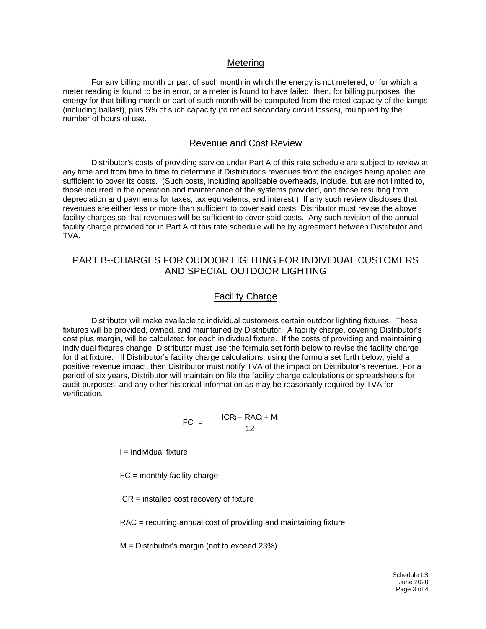#### Metering

For any billing month or part of such month in which the energy is not metered, or for which a meter reading is found to be in error, or a meter is found to have failed, then, for billing purposes, the energy for that billing month or part of such month will be computed from the rated capacity of the lamps (including ballast), plus 5% of such capacity (to reflect secondary circuit losses), multiplied by the number of hours of use.

### Revenue and Cost Review

Distributor's costs of providing service under Part A of this rate schedule are subject to review at any time and from time to time to determine if Distributor's revenues from the charges being applied are sufficient to cover its costs. (Such costs, including applicable overheads, include, but are not limited to, those incurred in the operation and maintenance of the systems provided, and those resulting from depreciation and payments for taxes, tax equivalents, and interest.) If any such review discloses that revenues are either less or more than sufficient to cover said costs, Distributor must revise the above facility charges so that revenues will be sufficient to cover said costs. Any such revision of the annual facility charge provided for in Part A of this rate schedule will be by agreement between Distributor and TVA.

### PART B--CHARGES FOR OUDOOR LIGHTING FOR INDIVIDUAL CUSTOMERS AND SPECIAL OUTDOOR LIGHTING

### Facility Charge

 Distributor will make available to individual customers certain outdoor lighting fixtures. These fixtures will be provided, owned, and maintained by Distributor. A facility charge, covering Distributor's cost plus margin, will be calculated for each inidivdual fixture. If the costs of providing and maintaining individual fixtures change, Distributor must use the formula set forth below to revise the facility charge for that fixture. If Distributor's facility charge calculations, using the formula set forth below, yield a positive revenue impact, then Distributor must notify TVA of the impact on Distributor's revenue. For a period of six years, Distributor will maintain on file the facility charge calculations or spreadsheets for audit purposes, and any other historical information as may be reasonably required by TVA for verification.

$$
FC_i = \frac{ICR_i + RAC_i + M_i}{12}
$$

 $i =$  individual fixture

 $FC = monthly facility charge$ 

ICR = installed cost recovery of fixture

RAC = recurring annual cost of providing and maintaining fixture

M = Distributor's margin (not to exceed 23%)